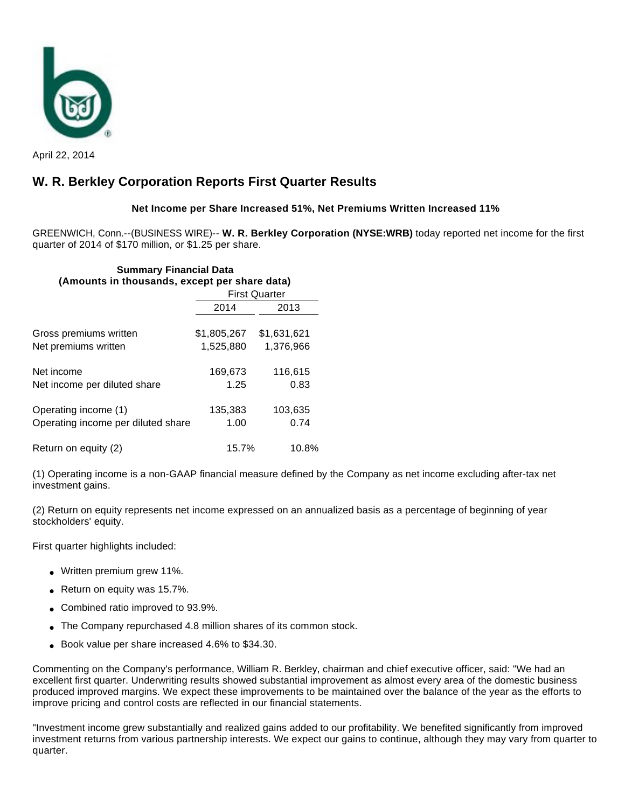

April 22, 2014

# **W. R. Berkley Corporation Reports First Quarter Results**

## **Net Income per Share Increased 51%, Net Premiums Written Increased 11%**

GREENWICH, Conn.--(BUSINESS WIRE)-- **W. R. Berkley Corporation (NYSE:WRB)** today reported net income for the first quarter of 2014 of \$170 million, or \$1.25 per share.

## **Summary Financial Data (Amounts in thousands, except per share data)**

|                                    | <b>First Quarter</b> |             |  |
|------------------------------------|----------------------|-------------|--|
|                                    | 2014                 | 2013        |  |
| Gross premiums written             | \$1,805,267          | \$1,631,621 |  |
| Net premiums written               | 1,525,880            | 1,376,966   |  |
| Net income                         | 169,673              | 116,615     |  |
| Net income per diluted share       | 1.25                 | 0.83        |  |
| Operating income (1)               | 135,383              | 103,635     |  |
| Operating income per diluted share | 1.00                 | 0.74        |  |
| Return on equity (2)               | 15.7%                | 10.8%       |  |

(1) Operating income is a non-GAAP financial measure defined by the Company as net income excluding after-tax net investment gains.

(2) Return on equity represents net income expressed on an annualized basis as a percentage of beginning of year stockholders' equity.

First quarter highlights included:

- Written premium grew 11%.
- Return on equity was 15.7%.
- Combined ratio improved to 93.9%.
- The Company repurchased 4.8 million shares of its common stock.
- Book value per share increased 4.6% to \$34.30.

Commenting on the Company's performance, William R. Berkley, chairman and chief executive officer, said: "We had an excellent first quarter. Underwriting results showed substantial improvement as almost every area of the domestic business produced improved margins. We expect these improvements to be maintained over the balance of the year as the efforts to improve pricing and control costs are reflected in our financial statements.

"Investment income grew substantially and realized gains added to our profitability. We benefited significantly from improved investment returns from various partnership interests. We expect our gains to continue, although they may vary from quarter to quarter.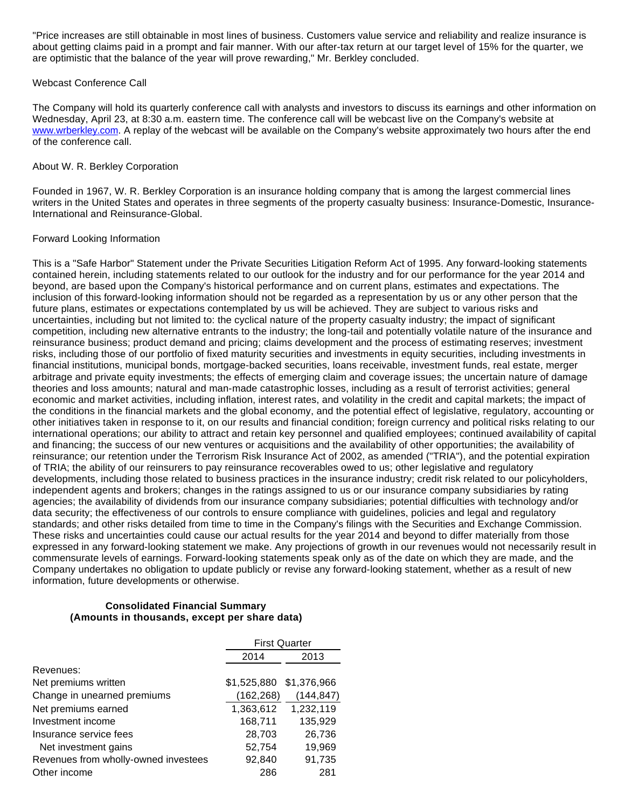"Price increases are still obtainable in most lines of business. Customers value service and reliability and realize insurance is about getting claims paid in a prompt and fair manner. With our after-tax return at our target level of 15% for the quarter, we are optimistic that the balance of the year will prove rewarding," Mr. Berkley concluded.

### Webcast Conference Call

The Company will hold its quarterly conference call with analysts and investors to discuss its earnings and other information on Wednesday, April 23, at 8:30 a.m. eastern time. The conference call will be webcast live on the Company's website at [www.wrberkley.com.](http://cts.businesswire.com/ct/CT?id=smartlink&url=http%3A%2F%2Fwww.wrberkley.com&esheet=50848398&newsitemid=20140422006632&lan=en-US&anchor=www.wrberkley.com&index=1&md5=14a3e3006ab014836959200263148afb) A replay of the webcast will be available on the Company's website approximately two hours after the end of the conference call.

#### About W. R. Berkley Corporation

Founded in 1967, W. R. Berkley Corporation is an insurance holding company that is among the largest commercial lines writers in the United States and operates in three segments of the property casualty business: Insurance-Domestic, Insurance-International and Reinsurance-Global.

### Forward Looking Information

This is a "Safe Harbor" Statement under the Private Securities Litigation Reform Act of 1995. Any forward-looking statements contained herein, including statements related to our outlook for the industry and for our performance for the year 2014 and beyond, are based upon the Company's historical performance and on current plans, estimates and expectations. The inclusion of this forward-looking information should not be regarded as a representation by us or any other person that the future plans, estimates or expectations contemplated by us will be achieved. They are subject to various risks and uncertainties, including but not limited to: the cyclical nature of the property casualty industry; the impact of significant competition, including new alternative entrants to the industry; the long-tail and potentially volatile nature of the insurance and reinsurance business; product demand and pricing; claims development and the process of estimating reserves; investment risks, including those of our portfolio of fixed maturity securities and investments in equity securities, including investments in financial institutions, municipal bonds, mortgage-backed securities, loans receivable, investment funds, real estate, merger arbitrage and private equity investments; the effects of emerging claim and coverage issues; the uncertain nature of damage theories and loss amounts; natural and man-made catastrophic losses, including as a result of terrorist activities; general economic and market activities, including inflation, interest rates, and volatility in the credit and capital markets; the impact of the conditions in the financial markets and the global economy, and the potential effect of legislative, regulatory, accounting or other initiatives taken in response to it, on our results and financial condition; foreign currency and political risks relating to our international operations; our ability to attract and retain key personnel and qualified employees; continued availability of capital and financing; the success of our new ventures or acquisitions and the availability of other opportunities; the availability of reinsurance; our retention under the Terrorism Risk Insurance Act of 2002, as amended ("TRIA"), and the potential expiration of TRIA; the ability of our reinsurers to pay reinsurance recoverables owed to us; other legislative and regulatory developments, including those related to business practices in the insurance industry; credit risk related to our policyholders, independent agents and brokers; changes in the ratings assigned to us or our insurance company subsidiaries by rating agencies; the availability of dividends from our insurance company subsidiaries; potential difficulties with technology and/or data security; the effectiveness of our controls to ensure compliance with guidelines, policies and legal and regulatory standards; and other risks detailed from time to time in the Company's filings with the Securities and Exchange Commission. These risks and uncertainties could cause our actual results for the year 2014 and beyond to differ materially from those expressed in any forward-looking statement we make. Any projections of growth in our revenues would not necessarily result in commensurate levels of earnings. Forward-looking statements speak only as of the date on which they are made, and the Company undertakes no obligation to update publicly or revise any forward-looking statement, whether as a result of new information, future developments or otherwise.

#### **Consolidated Financial Summary (Amounts in thousands, except per share data)**

|                                      | <b>First Quarter</b> |             |  |
|--------------------------------------|----------------------|-------------|--|
|                                      | 2013<br>2014         |             |  |
| Revenues:                            |                      |             |  |
| Net premiums written                 | \$1,525,880          | \$1,376,966 |  |
| Change in unearned premiums          | (162,268)            | (144, 847)  |  |
| Net premiums earned                  | 1,363,612            | 1,232,119   |  |
| Investment income                    | 168,711              | 135,929     |  |
| Insurance service fees               | 28,703               | 26,736      |  |
| Net investment gains                 | 52,754               | 19,969      |  |
| Revenues from wholly-owned investees | 92,840               | 91,735      |  |
| Other income                         | 286                  | 281         |  |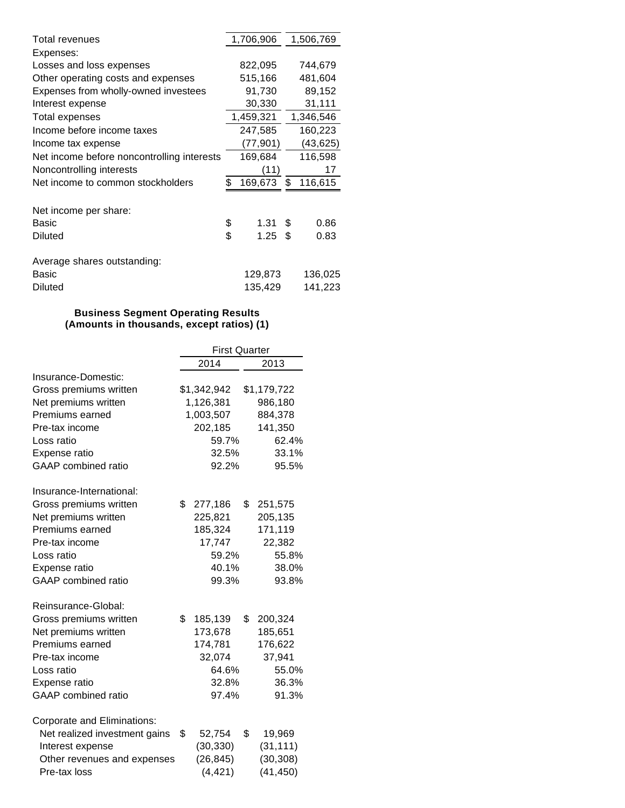| Total revenues                             | 1,706,906  |    | 1,506,769 |
|--------------------------------------------|------------|----|-----------|
| Expenses:                                  |            |    |           |
| Losses and loss expenses                   | 822,095    |    | 744,679   |
| Other operating costs and expenses         | 515,166    |    | 481,604   |
| Expenses from wholly-owned investees       | 91,730     |    | 89,152    |
| Interest expense                           | 30,330     |    | 31,111    |
| <b>Total expenses</b>                      | 1,459,321  |    | 1,346,546 |
| Income before income taxes                 | 247,585    |    | 160,223   |
| Income tax expense                         | (77,901)   |    | (43, 625) |
| Net income before noncontrolling interests | 169,684    |    | 116,598   |
| Noncontrolling interests                   | (11)       |    | 17        |
| Net income to common stockholders          | 169,673    | \$ | 116,615   |
|                                            |            |    |           |
| Net income per share:                      |            |    |           |
| Basic                                      | \$<br>1.31 | S  | 0.86      |
| <b>Diluted</b>                             | \$<br>1.25 | \$ | 0.83      |
|                                            |            |    |           |
| Average shares outstanding:                |            |    |           |
| Basic                                      | 129,873    |    | 136,025   |
| Diluted                                    | 135,429    |    | 141,223   |

## **Business Segment Operating Results (Amounts in thousands, except ratios) (1)**

|                                    | <b>First Quarter</b> |             |      |             |
|------------------------------------|----------------------|-------------|------|-------------|
|                                    | 2014                 |             | 2013 |             |
| Insurance-Domestic:                |                      |             |      |             |
| Gross premiums written             |                      | \$1,342,942 |      | \$1,179,722 |
| Net premiums written               |                      | 1,126,381   |      | 986,180     |
| Premiums earned                    |                      | 1,003,507   |      | 884,378     |
| Pre-tax income                     |                      | 202,185     |      | 141,350     |
| Loss ratio                         |                      | 59.7%       |      | 62.4%       |
| Expense ratio                      |                      | 32.5%       |      | 33.1%       |
| <b>GAAP</b> combined ratio         |                      | 92.2%       |      | 95.5%       |
| Insurance-International:           |                      |             |      |             |
| Gross premiums written             | \$                   | 277,186     | \$   | 251,575     |
| Net premiums written               |                      | 225,821     |      | 205,135     |
| Premiums earned                    |                      | 185,324     |      | 171,119     |
| Pre-tax income                     |                      | 17,747      |      | 22,382      |
| Loss ratio                         |                      | 59.2%       |      | 55.8%       |
| Expense ratio                      |                      | 40.1%       |      | 38.0%       |
| <b>GAAP</b> combined ratio         |                      | 99.3%       |      | 93.8%       |
| Reinsurance-Global:                |                      |             |      |             |
| Gross premiums written             | \$                   | 185,139     | \$   | 200,324     |
| Net premiums written               |                      | 173,678     |      | 185,651     |
| Premiums earned                    |                      | 174,781     |      | 176,622     |
| Pre-tax income                     |                      | 32,074      |      | 37,941      |
| Loss ratio                         |                      | 64.6%       |      | 55.0%       |
| Expense ratio                      |                      | 32.8%       |      | 36.3%       |
| <b>GAAP</b> combined ratio         |                      | 97.4%       |      | 91.3%       |
| <b>Corporate and Eliminations:</b> |                      |             |      |             |
| Net realized investment gains      | \$                   | 52,754      | \$   | 19,969      |
| Interest expense                   |                      | (30, 330)   |      | (31, 111)   |
| Other revenues and expenses        |                      | (26, 845)   |      | (30, 308)   |
| Pre-tax loss                       |                      | (4, 421)    |      | (41, 450)   |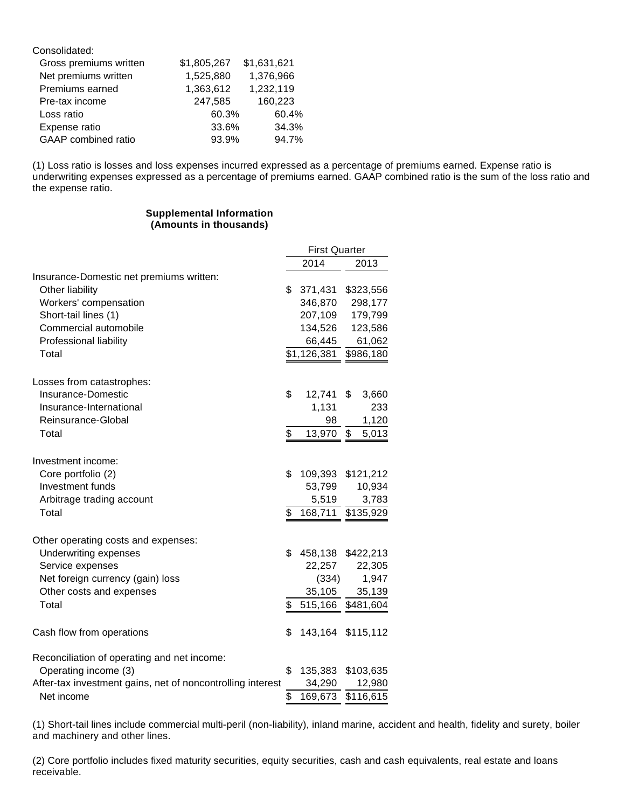| Consolidated:          |             |             |
|------------------------|-------------|-------------|
| Gross premiums written | \$1,805,267 | \$1,631,621 |
| Net premiums written   | 1,525,880   | 1,376,966   |
| Premiums earned        | 1,363,612   | 1,232,119   |
| Pre-tax income         | 247,585     | 160,223     |
| Loss ratio             | 60.3%       | 60.4%       |
| Expense ratio          | 33.6%       | 34.3%       |
| GAAP combined ratio    | 93.9%       | 94.7%       |

(1) Loss ratio is losses and loss expenses incurred expressed as a percentage of premiums earned. Expense ratio is underwriting expenses expressed as a percentage of premiums earned. GAAP combined ratio is the sum of the loss ratio and the expense ratio.

### **Supplemental Information (Amounts in thousands)**

| 2014<br>2013<br>Other liability<br>\$<br>371,431<br>\$323,556<br>Workers' compensation<br>346,870<br>298,177<br>Short-tail lines (1)<br>207,109<br>179,799<br>Commercial automobile<br>134,526<br>123,586<br>Professional liability<br>66,445<br>61,062<br>\$1,126,381<br>\$986,180<br>Total<br>\$<br>Insurance-Domestic<br>12,741<br>\$<br>3,660<br>Insurance-International<br>1,131<br>233<br>Reinsurance-Global<br>98<br>1,120<br>\$<br>\$<br>Total<br>13,970<br>5,013<br>\$<br>Core portfolio (2)<br>109,393 \$121,212<br>Investment funds<br>53,799<br>10,934<br>Arbitrage trading account<br>5,519<br>3,783<br>\$<br>168,711<br>\$135,929<br>Total<br>Other operating costs and expenses:<br>Underwriting expenses<br>\$<br>458,138 \$422,213<br>Service expenses<br>22,257<br>22,305<br>Net foreign currency (gain) loss<br>(334)<br>1,947<br>Other costs and expenses<br>35,105<br>35,139<br>Total<br>\$<br>515,166<br>\$481,604<br>\$<br>143,164 \$115,112<br>Reconciliation of operating and net income:<br>Operating income (3)<br>\$<br>135,383<br>\$103,635<br>After-tax investment gains, net of noncontrolling interest<br>34,290<br>12,980<br>\$<br>\$116,615<br>Net income |                                          | <b>First Quarter</b> |         |  |  |
|---------------------------------------------------------------------------------------------------------------------------------------------------------------------------------------------------------------------------------------------------------------------------------------------------------------------------------------------------------------------------------------------------------------------------------------------------------------------------------------------------------------------------------------------------------------------------------------------------------------------------------------------------------------------------------------------------------------------------------------------------------------------------------------------------------------------------------------------------------------------------------------------------------------------------------------------------------------------------------------------------------------------------------------------------------------------------------------------------------------------------------------------------------------------------------------------|------------------------------------------|----------------------|---------|--|--|
|                                                                                                                                                                                                                                                                                                                                                                                                                                                                                                                                                                                                                                                                                                                                                                                                                                                                                                                                                                                                                                                                                                                                                                                             |                                          |                      |         |  |  |
|                                                                                                                                                                                                                                                                                                                                                                                                                                                                                                                                                                                                                                                                                                                                                                                                                                                                                                                                                                                                                                                                                                                                                                                             | Insurance-Domestic net premiums written: |                      |         |  |  |
|                                                                                                                                                                                                                                                                                                                                                                                                                                                                                                                                                                                                                                                                                                                                                                                                                                                                                                                                                                                                                                                                                                                                                                                             |                                          |                      |         |  |  |
|                                                                                                                                                                                                                                                                                                                                                                                                                                                                                                                                                                                                                                                                                                                                                                                                                                                                                                                                                                                                                                                                                                                                                                                             |                                          |                      |         |  |  |
|                                                                                                                                                                                                                                                                                                                                                                                                                                                                                                                                                                                                                                                                                                                                                                                                                                                                                                                                                                                                                                                                                                                                                                                             |                                          |                      |         |  |  |
|                                                                                                                                                                                                                                                                                                                                                                                                                                                                                                                                                                                                                                                                                                                                                                                                                                                                                                                                                                                                                                                                                                                                                                                             |                                          |                      |         |  |  |
|                                                                                                                                                                                                                                                                                                                                                                                                                                                                                                                                                                                                                                                                                                                                                                                                                                                                                                                                                                                                                                                                                                                                                                                             |                                          |                      |         |  |  |
|                                                                                                                                                                                                                                                                                                                                                                                                                                                                                                                                                                                                                                                                                                                                                                                                                                                                                                                                                                                                                                                                                                                                                                                             |                                          |                      |         |  |  |
|                                                                                                                                                                                                                                                                                                                                                                                                                                                                                                                                                                                                                                                                                                                                                                                                                                                                                                                                                                                                                                                                                                                                                                                             | Losses from catastrophes:                |                      |         |  |  |
|                                                                                                                                                                                                                                                                                                                                                                                                                                                                                                                                                                                                                                                                                                                                                                                                                                                                                                                                                                                                                                                                                                                                                                                             |                                          |                      |         |  |  |
|                                                                                                                                                                                                                                                                                                                                                                                                                                                                                                                                                                                                                                                                                                                                                                                                                                                                                                                                                                                                                                                                                                                                                                                             |                                          |                      |         |  |  |
|                                                                                                                                                                                                                                                                                                                                                                                                                                                                                                                                                                                                                                                                                                                                                                                                                                                                                                                                                                                                                                                                                                                                                                                             |                                          |                      |         |  |  |
|                                                                                                                                                                                                                                                                                                                                                                                                                                                                                                                                                                                                                                                                                                                                                                                                                                                                                                                                                                                                                                                                                                                                                                                             |                                          |                      |         |  |  |
|                                                                                                                                                                                                                                                                                                                                                                                                                                                                                                                                                                                                                                                                                                                                                                                                                                                                                                                                                                                                                                                                                                                                                                                             | Investment income:                       |                      |         |  |  |
|                                                                                                                                                                                                                                                                                                                                                                                                                                                                                                                                                                                                                                                                                                                                                                                                                                                                                                                                                                                                                                                                                                                                                                                             |                                          |                      |         |  |  |
|                                                                                                                                                                                                                                                                                                                                                                                                                                                                                                                                                                                                                                                                                                                                                                                                                                                                                                                                                                                                                                                                                                                                                                                             |                                          |                      |         |  |  |
|                                                                                                                                                                                                                                                                                                                                                                                                                                                                                                                                                                                                                                                                                                                                                                                                                                                                                                                                                                                                                                                                                                                                                                                             |                                          |                      |         |  |  |
|                                                                                                                                                                                                                                                                                                                                                                                                                                                                                                                                                                                                                                                                                                                                                                                                                                                                                                                                                                                                                                                                                                                                                                                             |                                          |                      |         |  |  |
|                                                                                                                                                                                                                                                                                                                                                                                                                                                                                                                                                                                                                                                                                                                                                                                                                                                                                                                                                                                                                                                                                                                                                                                             |                                          |                      |         |  |  |
|                                                                                                                                                                                                                                                                                                                                                                                                                                                                                                                                                                                                                                                                                                                                                                                                                                                                                                                                                                                                                                                                                                                                                                                             |                                          |                      |         |  |  |
|                                                                                                                                                                                                                                                                                                                                                                                                                                                                                                                                                                                                                                                                                                                                                                                                                                                                                                                                                                                                                                                                                                                                                                                             |                                          |                      |         |  |  |
|                                                                                                                                                                                                                                                                                                                                                                                                                                                                                                                                                                                                                                                                                                                                                                                                                                                                                                                                                                                                                                                                                                                                                                                             |                                          |                      |         |  |  |
|                                                                                                                                                                                                                                                                                                                                                                                                                                                                                                                                                                                                                                                                                                                                                                                                                                                                                                                                                                                                                                                                                                                                                                                             |                                          |                      |         |  |  |
|                                                                                                                                                                                                                                                                                                                                                                                                                                                                                                                                                                                                                                                                                                                                                                                                                                                                                                                                                                                                                                                                                                                                                                                             |                                          |                      |         |  |  |
|                                                                                                                                                                                                                                                                                                                                                                                                                                                                                                                                                                                                                                                                                                                                                                                                                                                                                                                                                                                                                                                                                                                                                                                             | Cash flow from operations                |                      |         |  |  |
|                                                                                                                                                                                                                                                                                                                                                                                                                                                                                                                                                                                                                                                                                                                                                                                                                                                                                                                                                                                                                                                                                                                                                                                             |                                          |                      |         |  |  |
|                                                                                                                                                                                                                                                                                                                                                                                                                                                                                                                                                                                                                                                                                                                                                                                                                                                                                                                                                                                                                                                                                                                                                                                             |                                          |                      |         |  |  |
|                                                                                                                                                                                                                                                                                                                                                                                                                                                                                                                                                                                                                                                                                                                                                                                                                                                                                                                                                                                                                                                                                                                                                                                             |                                          |                      |         |  |  |
|                                                                                                                                                                                                                                                                                                                                                                                                                                                                                                                                                                                                                                                                                                                                                                                                                                                                                                                                                                                                                                                                                                                                                                                             |                                          |                      | 169,673 |  |  |

(1) Short-tail lines include commercial multi-peril (non-liability), inland marine, accident and health, fidelity and surety, boiler and machinery and other lines.

(2) Core portfolio includes fixed maturity securities, equity securities, cash and cash equivalents, real estate and loans receivable.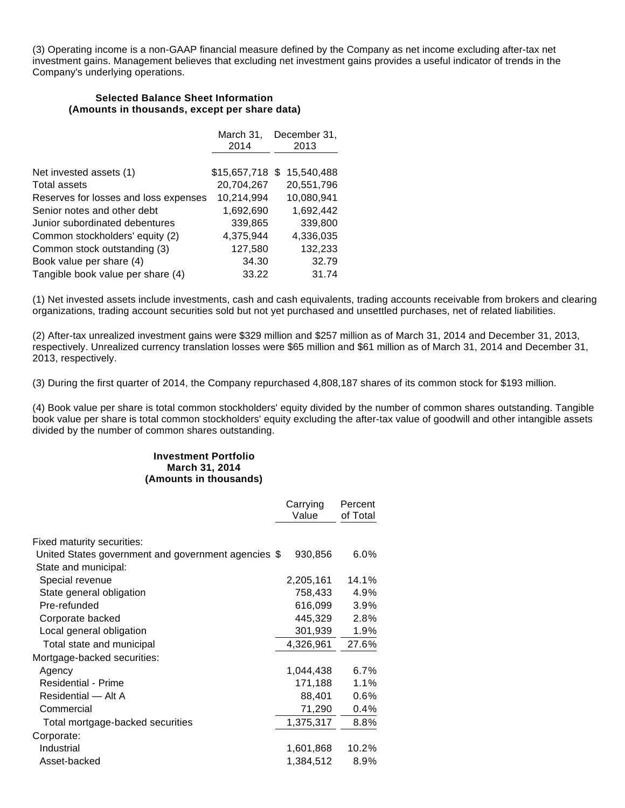(3) Operating income is a non-GAAP financial measure defined by the Company as net income excluding after-tax net investment gains. Management believes that excluding net investment gains provides a useful indicator of trends in the Company's underlying operations.

#### **Selected Balance Sheet Information (Amounts in thousands, except per share data)**

|                                       | March 31,<br>2014 | December 31,<br>2013 |
|---------------------------------------|-------------------|----------------------|
|                                       |                   |                      |
| Net invested assets (1)               | $$15,657,718$ \$  | 15,540,488           |
| Total assets                          | 20,704,267        | 20,551,796           |
| Reserves for losses and loss expenses | 10,214,994        | 10,080,941           |
| Senior notes and other debt           | 1,692,690         | 1,692,442            |
| Junior subordinated debentures        | 339,865           | 339,800              |
| Common stockholders' equity (2)       | 4,375,944         | 4,336,035            |
| Common stock outstanding (3)          | 127,580           | 132,233              |
| Book value per share (4)              | 34.30             | 32.79                |
| Tangible book value per share (4)     | 33.22             | 31.74                |

(1) Net invested assets include investments, cash and cash equivalents, trading accounts receivable from brokers and clearing organizations, trading account securities sold but not yet purchased and unsettled purchases, net of related liabilities.

(2) After-tax unrealized investment gains were \$329 million and \$257 million as of March 31, 2014 and December 31, 2013, respectively. Unrealized currency translation losses were \$65 million and \$61 million as of March 31, 2014 and December 31, 2013, respectively.

(3) During the first quarter of 2014, the Company repurchased 4,808,187 shares of its common stock for \$193 million.

(4) Book value per share is total common stockholders' equity divided by the number of common shares outstanding. Tangible book value per share is total common stockholders' equity excluding the after-tax value of goodwill and other intangible assets divided by the number of common shares outstanding.

#### **Investment Portfolio March 31, 2014 (Amounts in thousands)**

|                                                                             | Carrying  | Percent  |
|-----------------------------------------------------------------------------|-----------|----------|
|                                                                             | Value     | of Total |
| Fixed maturity securities:                                                  |           |          |
| United States government and government agencies \$<br>State and municipal: | 930,856   | $6.0\%$  |
| Special revenue                                                             | 2,205,161 | 14.1%    |
| State general obligation                                                    | 758,433   | 4.9%     |
| Pre-refunded                                                                | 616,099   | 3.9%     |
| Corporate backed                                                            | 445,329   | 2.8%     |
| Local general obligation                                                    | 301,939   | 1.9%     |
| Total state and municipal                                                   | 4,326,961 | 27.6%    |
| Mortgage-backed securities:                                                 |           |          |
| Agency                                                                      | 1,044,438 | 6.7%     |
| Residential - Prime                                                         | 171,188   | 1.1%     |
| Residential - Alt A                                                         | 88,401    | $0.6\%$  |
| Commercial                                                                  | 71,290    | $0.4\%$  |
| Total mortgage-backed securities                                            | 1,375,317 | 8.8%     |
| Corporate:                                                                  |           |          |
| Industrial                                                                  | 1,601,868 | 10.2%    |
| Asset-backed                                                                | 1,384,512 | 8.9%     |